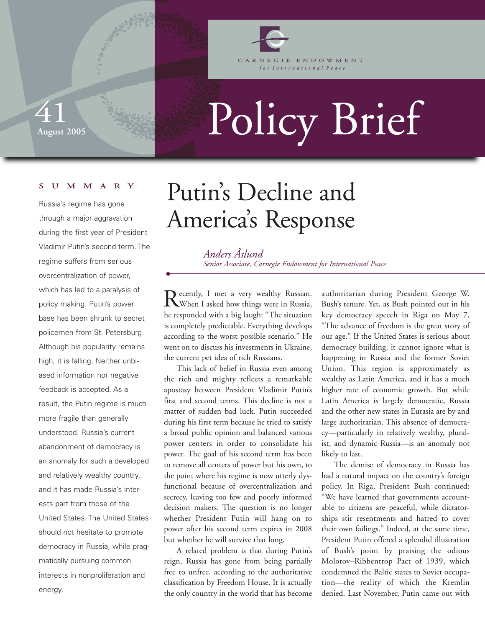

GIE ENDOWMENT for International Peace

### **August 2005**

41

# Policy Brief

#### **SUMMARY**

Russia's regime has gone through a major aggravation during the first year of President Vladimir Putin's second term. The regime suffers from serious overcentralization of power, which has led to a paralysis of policy making. Putin's power base has been shrunk to secret policemen from St. Petersburg. Although his popularity remains high, it is falling. Neither unbiased information nor negative feedback is accepted. As a result, the Putin regime is much more fragile than generally understood. Russia's current abandonment of democracy is an anomaly for such a developed and relatively wealthy country, and it has made Russia's interests part from those of the United States. The United States should not hesitate to promote democracy in Russia, while pragmatically pursuing common interests in nonproliferation and energy.

# Putin's Decline and America's Response

*Anders Åslund Senior Associate, Carnegie Endowment for International Peace*

Recently, I met a very wealthy Russian.<br>When I asked how things were in Russia, he responded with a big laugh: "The situation is completely predictable. Everything develops according to the worst possible scenario." He went on to discuss his investments in Ukraine, the current pet idea of rich Russians.

This lack of belief in Russia even among the rich and mighty reflects a remarkable apostasy between President Vladimir Putin's first and second terms. This decline is not a matter of sudden bad luck. Putin succeeded during his first term because he tried to satisfy a broad public opinion and balanced various power centers in order to consolidate his power. The goal of his second term has been to remove all centers of power but his own, to the point where his regime is now utterly dysfunctional because of overcentralization and secrecy, leaving too few and poorly informed decision makers. The question is no longer whether President Putin will hang on to power after his second term expires in 2008 but whether he will survive that long.

A related problem is that during Putin's reign, Russia has gone from being partially free to unfree, according to the authoritative classification by Freedom House. It is actually the only country in the world that has become authoritarian during President George W. Bush's tenure. Yet, as Bush pointed out in his key democracy speech in Riga on May 7, "The advance of freedom is the great story of our age." If the United States is serious about democracy building, it cannot ignore what is happening in Russia and the former Soviet Union. This region is approximately as wealthy as Latin America, and it has a much higher rate of economic growth. But while Latin America is largely democratic, Russia and the other new states in Eurasia are by and large authoritarian. This absence of democracy—particularly in relatively wealthy, pluralist, and dynamic Russia—is an anomaly not likely to last.

The demise of democracy in Russia has had a natural impact on the country's foreign policy. In Riga, President Bush continued: "We have learned that governments accountable to citizens are peaceful, while dictatorships stir resentments and hatred to cover their own failings." Indeed, at the same time, President Putin offered a splendid illustration of Bush's point by praising the odious Molotov–Ribbentrop Pact of 1939, which condemned the Baltic states to Soviet occupation—the reality of which the Kremlin denied. Last November, Putin came out with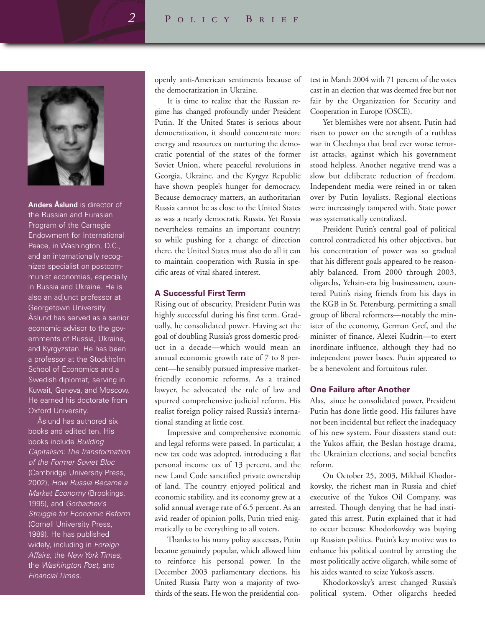

**Anders Åslund** is director of the Russian and Eurasian Program of the Carnegie Endowment for International Peace, in Washington, D.C., and an internationally recognized specialist on postcommunist economies, especially in Russia and Ukraine. He is also an adjunct professor at Georgetown University. Åslund has served as a senior economic advisor to the governments of Russia, Ukraine, and Kyrgyzstan. He has been a professor at the Stockholm School of Economics and a Swedish diplomat, serving in Kuwait, Geneva, and Moscow. He earned his doctorate from Oxford University.

Åslund has authored six books and edited ten. His books include Building Capitalism: The Transformation of the Former Soviet Bloc (Cambridge University Press, 2002), How Russia Became a Market Economy (Brookings, 1995), and Gorbachev's Struggle for Economic Reform (Cornell University Press, 1989). He has published widely, including in Foreign Affairs, the New York Times, the Washington Post, and Financial Times.

openly anti-American sentiments because of the democratization in Ukraine.

It is time to realize that the Russian regime has changed profoundly under President Putin. If the United States is serious about democratization, it should concentrate more energy and resources on nurturing the democratic potential of the states of the former Soviet Union, where peaceful revolutions in Georgia, Ukraine, and the Kyrgyz Republic have shown people's hunger for democracy. Because democracy matters, an authoritarian Russia cannot be as close to the United States as was a nearly democratic Russia. Yet Russia nevertheless remains an important country; so while pushing for a change of direction there, the United States must also do all it can to maintain cooperation with Russia in specific areas of vital shared interest.

#### **A Successful First Term**

Rising out of obscurity, President Putin was highly successful during his first term. Gradually, he consolidated power. Having set the goal of doubling Russia's gross domestic product in a decade—which would mean an annual economic growth rate of 7 to 8 percent—he sensibly pursued impressive marketfriendly economic reforms. As a trained lawyer, he advocated the rule of law and spurred comprehensive judicial reform. His realist foreign policy raised Russia's international standing at little cost.

Impressive and comprehensive economic and legal reforms were passed. In particular, a new tax code was adopted, introducing a flat personal income tax of 13 percent, and the new Land Code sanctified private ownership of land. The country enjoyed political and economic stability, and its economy grew at a solid annual average rate of 6.5 percent. As an avid reader of opinion polls, Putin tried enigmatically to be everything to all voters.

Thanks to his many policy successes, Putin became genuinely popular, which allowed him to reinforce his personal power. In the December 2003 parliamentary elections, his United Russia Party won a majority of twothirds of the seats. He won the presidential contest in March 2004 with 71 percent of the votes cast in an election that was deemed free but not fair by the Organization for Security and Cooperation in Europe (OSCE).

Yet blemishes were not absent. Putin had risen to power on the strength of a ruthless war in Chechnya that bred ever worse terrorist attacks, against which his government stood helpless. Another negative trend was a slow but deliberate reduction of freedom. Independent media were reined in or taken over by Putin loyalists. Regional elections were increasingly tampered with. State power was systematically centralized.

President Putin's central goal of political control contradicted his other objectives, but his concentration of power was so gradual that his different goals appeared to be reasonably balanced. From 2000 through 2003, oligarchs, Yeltsin-era big businessmen, countered Putin's rising friends from his days in the KGB in St. Petersburg, permitting a small group of liberal reformers—notably the minister of the economy, German Gref, and the minister of finance, Alexei Kudrin—to exert inordinate influence, although they had no independent power bases. Putin appeared to be a benevolent and fortuitous ruler.

#### **One Failure after Another**

Alas, since he consolidated power, President Putin has done little good. His failures have not been incidental but reflect the inadequacy of his new system. Four disasters stand out: the Yukos affair, the Beslan hostage drama, the Ukrainian elections, and social benefits reform.

On October 25, 2003, Mikhail Khodorkovsky, the richest man in Russia and chief executive of the Yukos Oil Company, was arrested. Though denying that he had instigated this arrest, Putin explained that it had to occur because Khodorkovsky was buying up Russian politics. Putin's key motive was to enhance his political control by arresting the most politically active oligarch, while some of his aides wanted to seize Yukos's assets.

Khodorkovsky's arrest changed Russia's political system. Other oligarchs heeded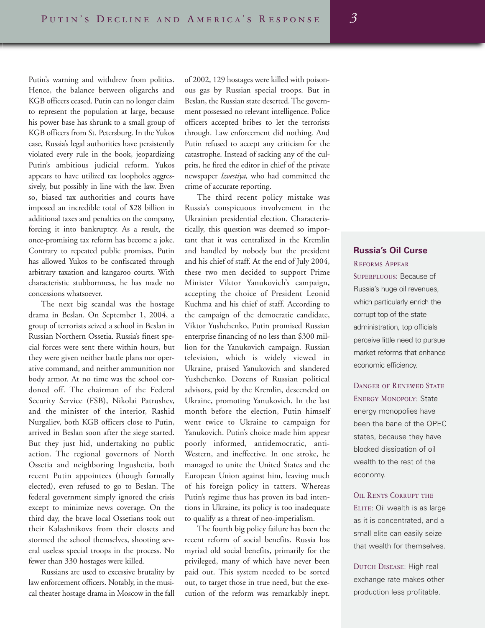Putin's warning and withdrew from politics. Hence, the balance between oligarchs and KGB officers ceased. Putin can no longer claim to represent the population at large, because his power base has shrunk to a small group of KGB officers from St. Petersburg. In the Yukos case, Russia's legal authorities have persistently violated every rule in the book, jeopardizing Putin's ambitious judicial reform. Yukos appears to have utilized tax loopholes aggressively, but possibly in line with the law. Even so, biased tax authorities and courts have imposed an incredible total of \$28 billion in additional taxes and penalties on the company, forcing it into bankruptcy. As a result, the once-promising tax reform has become a joke. Contrary to repeated public promises, Putin has allowed Yukos to be confiscated through arbitrary taxation and kangaroo courts. With characteristic stubbornness, he has made no concessions whatsoever.

The next big scandal was the hostage drama in Beslan. On September 1, 2004, a group of terrorists seized a school in Beslan in Russian Northern Ossetia. Russia's finest special forces were sent there within hours, but they were given neither battle plans nor operative command, and neither ammunition nor body armor. At no time was the school cordoned off. The chairman of the Federal Security Service (FSB), Nikolai Patrushev, and the minister of the interior, Rashid Nurgaliev, both KGB officers close to Putin, arrived in Beslan soon after the siege started. But they just hid, undertaking no public action. The regional governors of North Ossetia and neighboring Ingushetia, both recent Putin appointees (though formally elected), even refused to go to Beslan. The federal government simply ignored the crisis except to minimize news coverage. On the third day, the brave local Ossetians took out their Kalashnikovs from their closets and stormed the school themselves, shooting several useless special troops in the process. No fewer than 330 hostages were killed.

Russians are used to excessive brutality by law enforcement officers. Notably, in the musical theater hostage drama in Moscow in the fall of 2002, 129 hostages were killed with poisonous gas by Russian special troops. But in Beslan, the Russian state deserted. The government possessed no relevant intelligence. Police officers accepted bribes to let the terrorists through. Law enforcement did nothing. And Putin refused to accept any criticism for the catastrophe. Instead of sacking any of the culprits, he fired the editor in chief of the private newspaper *Izvestiya,* who had committed the crime of accurate reporting.

The third recent policy mistake was Russia's conspicuous involvement in the Ukrainian presidential election. Characteristically, this question was deemed so important that it was centralized in the Kremlin and handled by nobody but the president and his chief of staff. At the end of July 2004, these two men decided to support Prime Minister Viktor Yanukovich's campaign, accepting the choice of President Leonid Kuchma and his chief of staff. According to the campaign of the democratic candidate, Viktor Yushchenko, Putin promised Russian enterprise financing of no less than \$300 million for the Yanukovich campaign. Russian television, which is widely viewed in Ukraine, praised Yanukovich and slandered Yushchenko. Dozens of Russian political advisors, paid by the Kremlin, descended on Ukraine, promoting Yanukovich. In the last month before the election, Putin himself went twice to Ukraine to campaign for Yanukovich. Putin's choice made him appear poorly informed, antidemocratic, anti-Western, and ineffective. In one stroke, he managed to unite the United States and the European Union against him, leaving much of his foreign policy in tatters. Whereas Putin's regime thus has proven its bad intentions in Ukraine, its policy is too inadequate to qualify as a threat of neo-imperialism.

The fourth big policy failure has been the recent reform of social benefits. Russia has myriad old social benefits, primarily for the privileged, many of which have never been paid out. This system needed to be sorted out, to target those in true need, but the execution of the reform was remarkably inept.

#### **Russia's Oil Curse**

Reforms Appear Superfluous: Because of Russia's huge oil revenues, which particularly enrich the corrupt top of the state administration, top officials perceive little need to pursue market reforms that enhance economic efficiency.

DANGER OF RENEWED STATE Energy Monopoly: State energy monopolies have been the bane of the OPEC states, because they have blocked dissipation of oil wealth to the rest of the economy.

#### OIL RENTS CORRUPT THE

ELITE: Oil wealth is as large as it is concentrated, and a small elite can easily seize that wealth for themselves.

DUTCH DISEASE: High real exchange rate makes other production less profitable.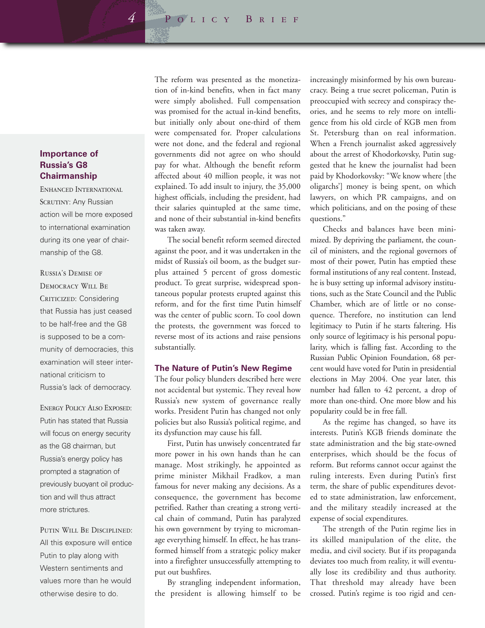#### **Importance of Russia's G8 Chairmanship**

Enhanced International SCRUTINY: Any Russian action will be more exposed to international examination during its one year of chairmanship of the G8.

Russia's Demise of Democracy Will Be CRITICIZED: Considering that Russia has just ceased to be half-free and the G8 is supposed to be a community of democracies, this examination will steer international criticism to Russia's lack of democracy.

Energy Policy Also Exposed: Putin has stated that Russia will focus on energy security as the G8 chairman, but Russia's energy policy has prompted a stagnation of previously buoyant oil production and will thus attract more strictures.

Putin Will Be Disciplined: All this exposure will entice Putin to play along with Western sentiments and values more than he would otherwise desire to do.

The reform was presented as the monetization of in-kind benefits, when in fact many were simply abolished. Full compensation was promised for the actual in-kind benefits, but initially only about one-third of them were compensated for. Proper calculations were not done, and the federal and regional governments did not agree on who should pay for what. Although the benefit reform affected about 40 million people, it was not explained. To add insult to injury, the 35,000 highest officials, including the president, had their salaries quintupled at the same time, and none of their substantial in-kind benefits was taken away.

The social benefit reform seemed directed against the poor, and it was undertaken in the midst of Russia's oil boom, as the budget surplus attained 5 percent of gross domestic product. To great surprise, widespread spontaneous popular protests erupted against this reform, and for the first time Putin himself was the center of public scorn. To cool down the protests, the government was forced to reverse most of its actions and raise pensions substantially.

#### **The Nature of Putin's New Regime**

The four policy blunders described here were not accidental but systemic. They reveal how Russia's new system of governance really works. President Putin has changed not only policies but also Russia's political regime, and its dysfunction may cause his fall.

First, Putin has unwisely concentrated far more power in his own hands than he can manage. Most strikingly, he appointed as prime minister Mikhail Fradkov, a man famous for never making any decisions. As a consequence, the government has become petrified. Rather than creating a strong vertical chain of command, Putin has paralyzed his own government by trying to micromanage everything himself. In effect, he has transformed himself from a strategic policy maker into a firefighter unsuccessfully attempting to put out bushfires.

By strangling independent information, the president is allowing himself to be

increasingly misinformed by his own bureaucracy. Being a true secret policeman, Putin is preoccupied with secrecy and conspiracy theories, and he seems to rely more on intelligence from his old circle of KGB men from St. Petersburg than on real information. When a French journalist asked aggressively about the arrest of Khodorkovsky, Putin suggested that he knew the journalist had been paid by Khodorkovsky: "We know where [the oligarchs'] money is being spent, on which lawyers, on which PR campaigns, and on which politicians, and on the posing of these questions."

Checks and balances have been minimized. By depriving the parliament, the council of ministers, and the regional governors of most of their power, Putin has emptied these formal institutions of any real content. Instead, he is busy setting up informal advisory institutions, such as the State Council and the Public Chamber, which are of little or no consequence. Therefore, no institution can lend legitimacy to Putin if he starts faltering. His only source of legitimacy is his personal popularity, which is falling fast. According to the Russian Public Opinion Foundation, 68 percent would have voted for Putin in presidential elections in May 2004. One year later, this number had fallen to 42 percent, a drop of more than one-third. One more blow and his popularity could be in free fall.

As the regime has changed, so have its interests. Putin's KGB friends dominate the state administration and the big state-owned enterprises, which should be the focus of reform. But reforms cannot occur against the ruling interests. Even during Putin's first term, the share of public expenditures devoted to state administration, law enforcement, and the military steadily increased at the expense of social expenditures.

The strength of the Putin regime lies in its skilled manipulation of the elite, the media, and civil society. But if its propaganda deviates too much from reality, it will eventually lose its credibility and thus authority. That threshold may already have been crossed. Putin's regime is too rigid and cen-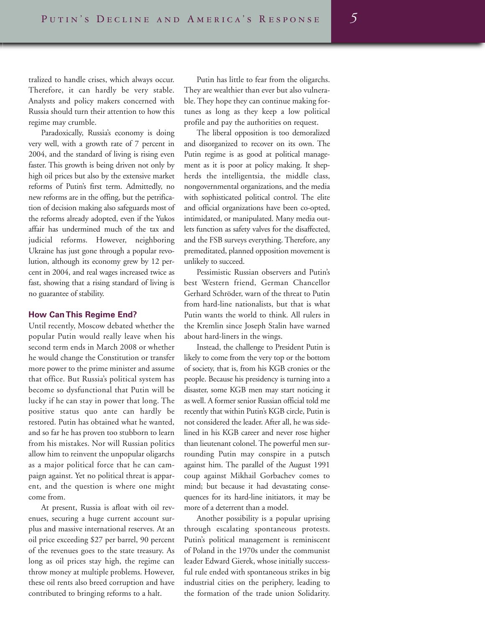tralized to handle crises, which always occur. Therefore, it can hardly be very stable. Analysts and policy makers concerned with Russia should turn their attention to how this regime may crumble.

Paradoxically, Russia's economy is doing very well, with a growth rate of 7 percent in 2004, and the standard of living is rising even faster. This growth is being driven not only by high oil prices but also by the extensive market reforms of Putin's first term. Admittedly, no new reforms are in the offing, but the petrification of decision making also safeguards most of the reforms already adopted, even if the Yukos affair has undermined much of the tax and judicial reforms. However, neighboring Ukraine has just gone through a popular revolution, although its economy grew by 12 percent in 2004, and real wages increased twice as fast, showing that a rising standard of living is no guarantee of stability.

#### **How Can This Regime End?**

Until recently, Moscow debated whether the popular Putin would really leave when his second term ends in March 2008 or whether he would change the Constitution or transfer more power to the prime minister and assume that office. But Russia's political system has become so dysfunctional that Putin will be lucky if he can stay in power that long. The positive status quo ante can hardly be restored. Putin has obtained what he wanted, and so far he has proven too stubborn to learn from his mistakes. Nor will Russian politics allow him to reinvent the unpopular oligarchs as a major political force that he can campaign against. Yet no political threat is apparent, and the question is where one might come from.

At present, Russia is afloat with oil revenues, securing a huge current account surplus and massive international reserves. At an oil price exceeding \$27 per barrel, 90 percent of the revenues goes to the state treasury. As long as oil prices stay high, the regime can throw money at multiple problems. However, these oil rents also breed corruption and have contributed to bringing reforms to a halt.

Putin has little to fear from the oligarchs. They are wealthier than ever but also vulnerable. They hope they can continue making fortunes as long as they keep a low political profile and pay the authorities on request.

The liberal opposition is too demoralized and disorganized to recover on its own. The Putin regime is as good at political management as it is poor at policy making. It shepherds the intelligentsia, the middle class, nongovernmental organizations, and the media with sophisticated political control. The elite and official organizations have been co-opted, intimidated, or manipulated. Many media outlets function as safety valves for the disaffected, and the FSB surveys everything. Therefore, any premeditated, planned opposition movement is unlikely to succeed.

Pessimistic Russian observers and Putin's best Western friend, German Chancellor Gerhard Schröder, warn of the threat to Putin from hard-line nationalists, but that is what Putin wants the world to think. All rulers in the Kremlin since Joseph Stalin have warned about hard-liners in the wings.

Instead, the challenge to President Putin is likely to come from the very top or the bottom of society, that is, from his KGB cronies or the people. Because his presidency is turning into a disaster, some KGB men may start noticing it as well. A former senior Russian official told me recently that within Putin's KGB circle, Putin is not considered the leader. After all, he was sidelined in his KGB career and never rose higher than lieutenant colonel. The powerful men surrounding Putin may conspire in a putsch against him. The parallel of the August 1991 coup against Mikhail Gorbachev comes to mind; but because it had devastating consequences for its hard-line initiators, it may be more of a deterrent than a model.

Another possibility is a popular uprising through escalating spontaneous protests. Putin's political management is reminiscent of Poland in the 1970s under the communist leader Edward Gierek, whose initially successful rule ended with spontaneous strikes in big industrial cities on the periphery, leading to the formation of the trade union Solidarity.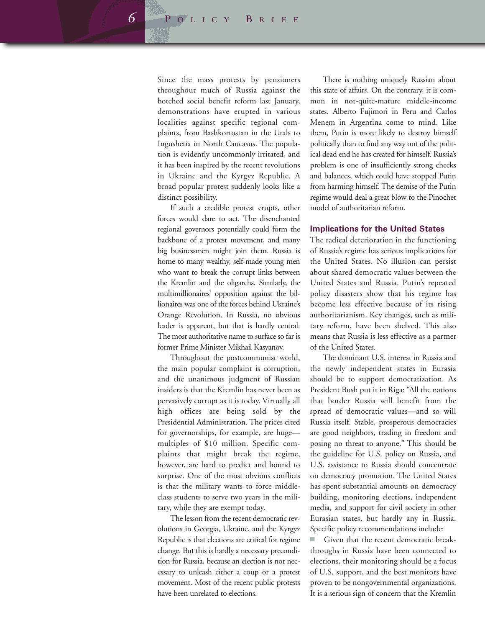*6* Policy Brief

Since the mass protests by pensioners throughout much of Russia against the botched social benefit reform last January, demonstrations have erupted in various localities against specific regional complaints, from Bashkortostan in the Urals to Ingushetia in North Caucasus. The population is evidently uncommonly irritated, and it has been inspired by the recent revolutions in Ukraine and the Kyrgyz Republic. A broad popular protest suddenly looks like a distinct possibility.

If such a credible protest erupts, other forces would dare to act. The disenchanted regional governors potentially could form the backbone of a protest movement, and many big businessmen might join them. Russia is home to many wealthy, self-made young men who want to break the corrupt links between the Kremlin and the oligarchs. Similarly, the multimillionaires' opposition against the billionaires was one of the forces behind Ukraine's Orange Revolution. In Russia, no obvious leader is apparent, but that is hardly central. The most authoritative name to surface so far is former Prime Minister Mikhail Kasyanov.

Throughout the postcommunist world, the main popular complaint is corruption, and the unanimous judgment of Russian insiders is that the Kremlin has never been as pervasively corrupt as it is today. Virtually all high offices are being sold by the Presidential Administration. The prices cited for governorships, for example, are huge multiples of \$10 million. Specific complaints that might break the regime, however, are hard to predict and bound to surprise. One of the most obvious conflicts is that the military wants to force middleclass students to serve two years in the military, while they are exempt today.

The lesson from the recent democratic revolutions in Georgia, Ukraine, and the Kyrgyz Republic is that elections are critical for regime change. But this is hardly a necessary precondition for Russia, because an election is not necessary to unleash either a coup or a protest movement. Most of the recent public protests have been unrelated to elections.

There is nothing uniquely Russian about this state of affairs. On the contrary, it is common in not-quite-mature middle-income states. Alberto Fujimori in Peru and Carlos Menem in Argentina come to mind. Like them, Putin is more likely to destroy himself politically than to find any way out of the political dead end he has created for himself. Russia's problem is one of insufficiently strong checks and balances, which could have stopped Putin from harming himself. The demise of the Putin regime would deal a great blow to the Pinochet model of authoritarian reform.

#### **Implications for the United States**

The radical deterioration in the functioning of Russia's regime has serious implications for the United States. No illusion can persist about shared democratic values between the United States and Russia. Putin's repeated policy disasters show that his regime has become less effective because of its rising authoritarianism. Key changes, such as military reform, have been shelved. This also means that Russia is less effective as a partner of the United States.

The dominant U.S. interest in Russia and the newly independent states in Eurasia should be to support democratization. As President Bush put it in Riga: "All the nations that border Russia will benefit from the spread of democratic values—and so will Russia itself. Stable, prosperous democracies are good neighbors, trading in freedom and posing no threat to anyone." This should be the guideline for U.S. policy on Russia, and U.S. assistance to Russia should concentrate on democracy promotion. The United States has spent substantial amounts on democracy building, monitoring elections, independent media, and support for civil society in other Eurasian states, but hardly any in Russia. Specific policy recommendations include:

■ Given that the recent democratic breakthroughs in Russia have been connected to elections, their monitoring should be a focus of U.S. support, and the best monitors have proven to be nongovernmental organizations. It is a serious sign of concern that the Kremlin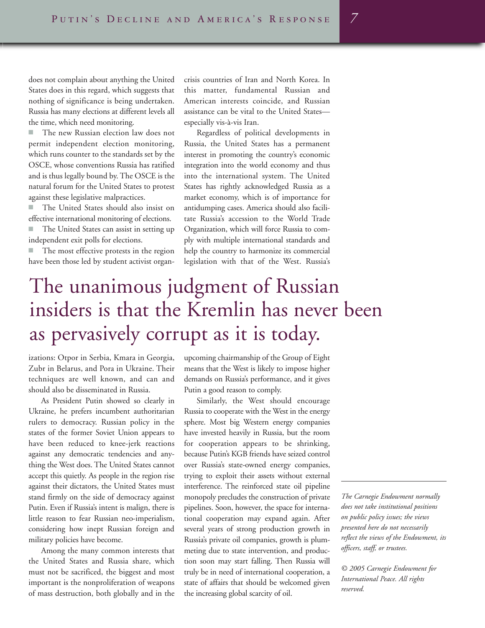does not complain about anything the United States does in this regard, which suggests that nothing of significance is being undertaken. Russia has many elections at different levels all the time, which need monitoring.

The new Russian election law does not permit independent election monitoring, which runs counter to the standards set by the OSCE, whose conventions Russia has ratified and is thus legally bound by. The OSCE is the natural forum for the United States to protest against these legislative malpractices.

The United States should also insist on effective international monitoring of elections.

The United States can assist in setting up independent exit polls for elections.

The most effective protests in the region have been those led by student activist organcrisis countries of Iran and North Korea. In this matter, fundamental Russian and American interests coincide, and Russian assistance can be vital to the United States especially vis-à-vis Iran.

Regardless of political developments in Russia, the United States has a permanent interest in promoting the country's economic integration into the world economy and thus into the international system. The United States has rightly acknowledged Russia as a market economy, which is of importance for antidumping cases. America should also facilitate Russia's accession to the World Trade Organization, which will force Russia to comply with multiple international standards and help the country to harmonize its commercial legislation with that of the West. Russia's

## The unanimous judgment of Russian insiders is that the Kremlin has never been as pervasively corrupt as it is today.

izations: Otpor in Serbia, Kmara in Georgia, Zubr in Belarus, and Pora in Ukraine. Their techniques are well known, and can and should also be disseminated in Russia.

As President Putin showed so clearly in Ukraine, he prefers incumbent authoritarian rulers to democracy. Russian policy in the states of the former Soviet Union appears to have been reduced to knee-jerk reactions against any democratic tendencies and anything the West does. The United States cannot accept this quietly. As people in the region rise against their dictators, the United States must stand firmly on the side of democracy against Putin. Even if Russia's intent is malign, there is little reason to fear Russian neo-imperialism, considering how inept Russian foreign and military policies have become.

Among the many common interests that the United States and Russia share, which must not be sacrificed, the biggest and most important is the nonproliferation of weapons of mass destruction, both globally and in the upcoming chairmanship of the Group of Eight means that the West is likely to impose higher demands on Russia's performance, and it gives Putin a good reason to comply.

Similarly, the West should encourage Russia to cooperate with the West in the energy sphere. Most big Western energy companies have invested heavily in Russia, but the room for cooperation appears to be shrinking, because Putin's KGB friends have seized control over Russia's state-owned energy companies, trying to exploit their assets without external interference. The reinforced state oil pipeline monopoly precludes the construction of private pipelines. Soon, however, the space for international cooperation may expand again. After several years of strong production growth in Russia's private oil companies, growth is plummeting due to state intervention, and production soon may start falling. Then Russia will truly be in need of international cooperation, a state of affairs that should be welcomed given the increasing global scarcity of oil.

*The Carnegie Endowment normally does not take institutional positions on public policy issues; the views presented here do not necessarily reflect the views of the Endowment, its officers, staff, or trustees.*

*© 2005 Carnegie Endowment for International Peace. All rights reserved.*